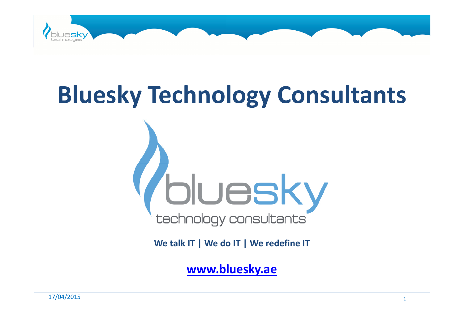

# Bluesky Technology Consultants



We talk IT | We do IT | We redefine IT

www.bluesky.ae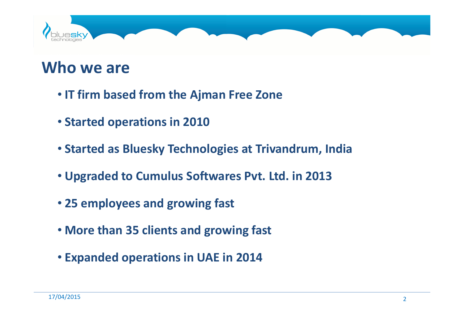

#### Who we are

- IT firm based from the Ajman Free Zone
- Started operations in 2010
- Started as Bluesky Technologies at Trivandrum, India
- Upgraded to Cumulus Softwares Pvt. Ltd. in 2013
- 25 employees and growing fast
- More than 35 clients and growing fast
- Expanded operations in UAE in 2014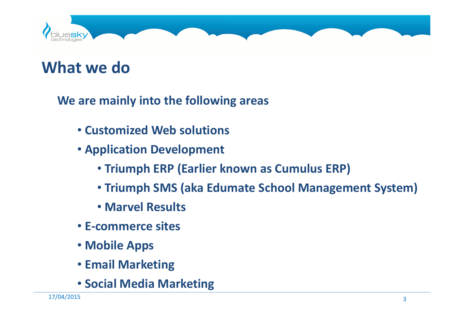

### What we do

We are mainly into the following areas

- Customized Web solutions
- Application Development
	- Triumph ERP (Earlier known as Cumulus ERP)
	- Triumph SMS (aka Edumate School Management System)
	- Marvel Results
- E-commerce sites
- Mobile Apps
- Email Marketing
- Social Media Marketing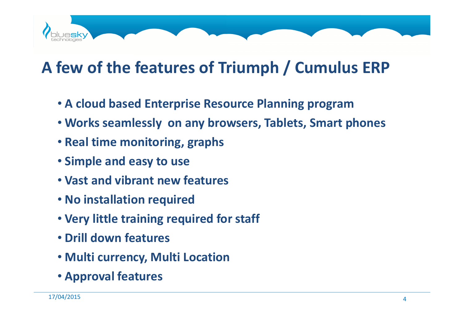# A few of the features of Triumph / Cumulus ERP

- A cloud based Enterprise Resource Planning program
- Works seamlessly on any browsers, Tablets, Smart phones
- Real time monitoring, graphs
- Simple and easy to use
- Vast and vibrant new features
- No installation required
- Very little training required for staff
- Drill down features
- Multi currency, Multi Location
- Approval features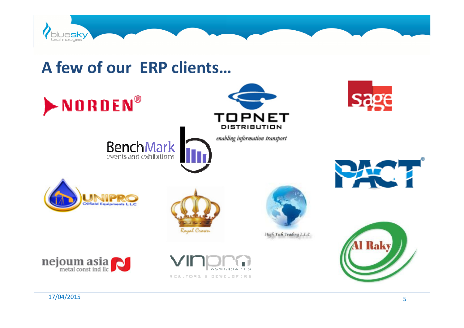

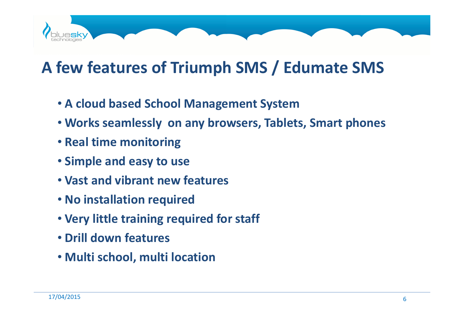

## A few features of Triumph SMS / Edumate SMS

- A cloud based School Management System
- Works seamlessly on any browsers, Tablets, Smart phones
- Real time monitoring
- Simple and easy to use
- Vast and vibrant new features
- No installation required
- Very little training required for staff
- Drill down features
- Multi school, multi location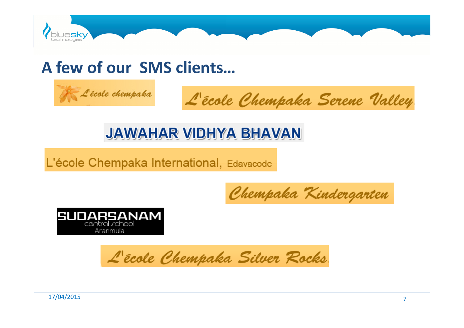

#### A few of our SMS clients…



L'école Chempaka Serene Valley

#### **JAWAHAR VIDHYA BHAVAN**

L'école Chempaka International, Edavacode

Chempaka Kindergarten



L'école Chempaka Silver Rocks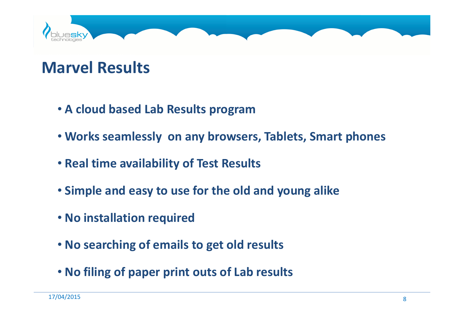

### Marvel Results

- A cloud based Lab Results program
- Works seamlessly on any browsers, Tablets, Smart phones
- Real time availability of Test Results
- Simple and easy to use for the old and young alike
- No installation required
- No searching of emails to get old results
- No filing of paper print outs of Lab results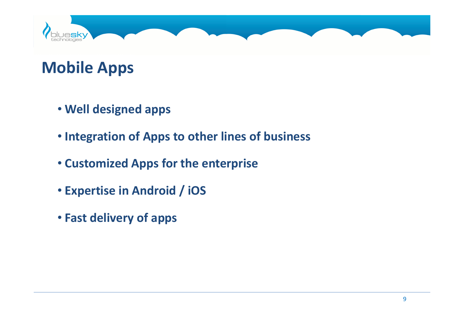

## Mobile Apps

- Well designed apps
- Integration of Apps to other lines of business
- Customized Apps for the enterprise
- Expertise in Android / iOS
- Fast delivery of apps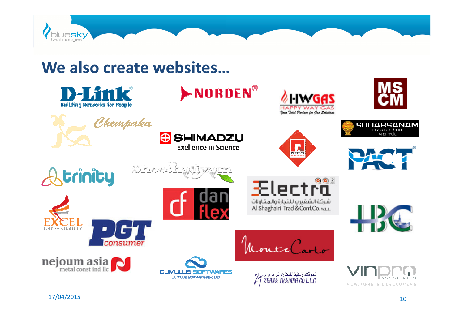

We also create websites...

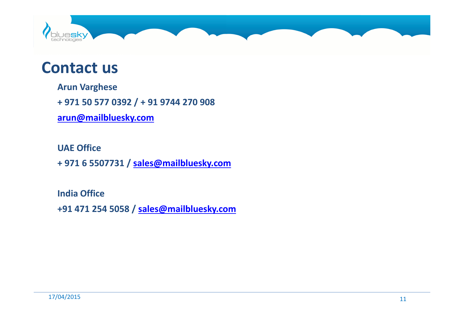

#### Contact us

Arun Varghese

+ 971 50 577 0392 / + 91 9744 270 908

arun@mailbluesky.com

UAE Office

+ 971 6 5507731 / sales@mailbluesky.com

India Office+91 471 254 5058 / sales@mailbluesky.com